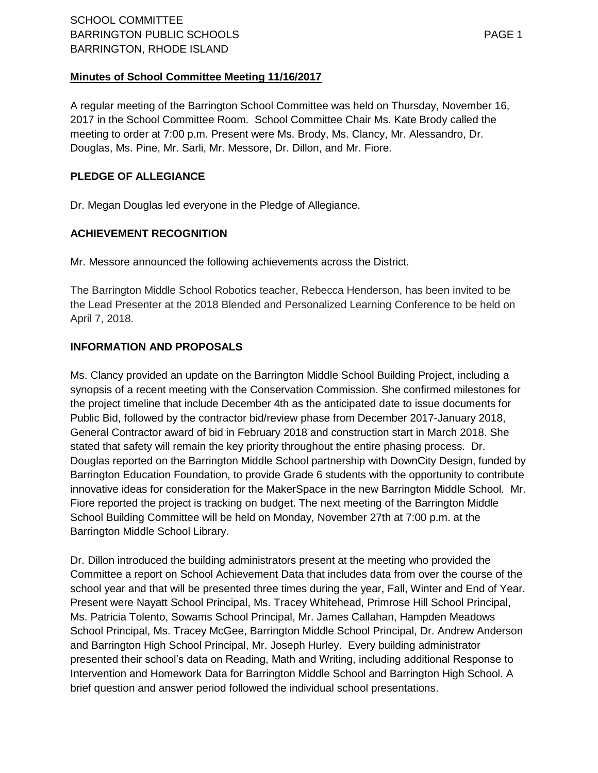A regular meeting of the Barrington School Committee was held on Thursday, November 16, 2017 in the School Committee Room. School Committee Chair Ms. Kate Brody called the meeting to order at 7:00 p.m. Present were Ms. Brody, Ms. Clancy, Mr. Alessandro, Dr. Douglas, Ms. Pine, Mr. Sarli, Mr. Messore, Dr. Dillon, and Mr. Fiore.

## **PLEDGE OF ALLEGIANCE**

Dr. Megan Douglas led everyone in the Pledge of Allegiance.

# **ACHIEVEMENT RECOGNITION**

Mr. Messore announced the following achievements across the District.

The Barrington Middle School Robotics teacher, Rebecca Henderson, has been invited to be the Lead Presenter at the 2018 Blended and Personalized Learning Conference to be held on April 7, 2018.

# **INFORMATION AND PROPOSALS**

Ms. Clancy provided an update on the Barrington Middle School Building Project, including a synopsis of a recent meeting with the Conservation Commission. She confirmed milestones for the project timeline that include December 4th as the anticipated date to issue documents for Public Bid, followed by the contractor bid/review phase from December 2017-January 2018, General Contractor award of bid in February 2018 and construction start in March 2018. She stated that safety will remain the key priority throughout the entire phasing process. Dr. Douglas reported on the Barrington Middle School partnership with DownCity Design, funded by Barrington Education Foundation, to provide Grade 6 students with the opportunity to contribute innovative ideas for consideration for the MakerSpace in the new Barrington Middle School. Mr. Fiore reported the project is tracking on budget. The next meeting of the Barrington Middle School Building Committee will be held on Monday, November 27th at 7:00 p.m. at the Barrington Middle School Library.

Dr. Dillon introduced the building administrators present at the meeting who provided the Committee a report on School Achievement Data that includes data from over the course of the school year and that will be presented three times during the year, Fall, Winter and End of Year. Present were Nayatt School Principal, Ms. Tracey Whitehead, Primrose Hill School Principal, Ms. Patricia Tolento, Sowams School Principal, Mr. James Callahan, Hampden Meadows School Principal, Ms. Tracey McGee, Barrington Middle School Principal, Dr. Andrew Anderson and Barrington High School Principal, Mr. Joseph Hurley. Every building administrator presented their school's data on Reading, Math and Writing, including additional Response to Intervention and Homework Data for Barrington Middle School and Barrington High School. A brief question and answer period followed the individual school presentations.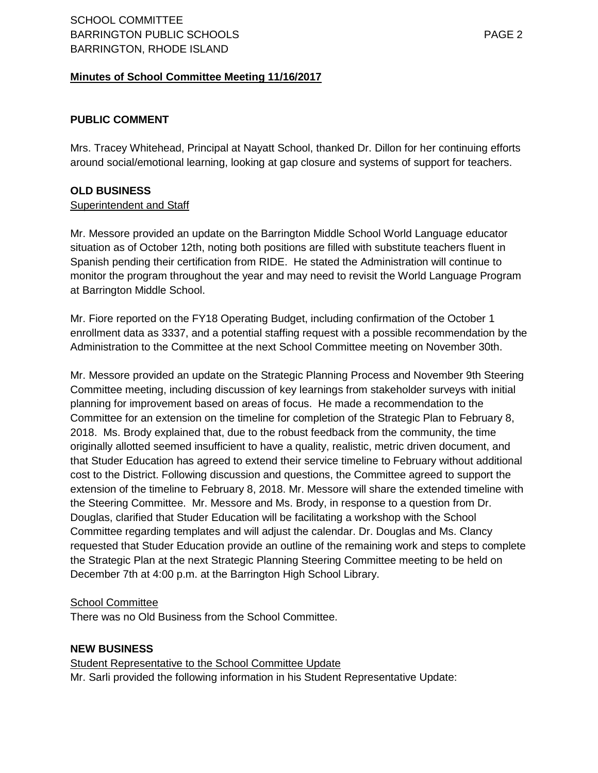# SCHOOL COMMITTEE BARRINGTON PUBLIC SCHOOLS AND RESERVE THE RESERVE THAT IS A RESERVE THAT A PAGE 2 BARRINGTON, RHODE ISLAND

## **Minutes of School Committee Meeting 11/16/2017**

## **PUBLIC COMMENT**

Mrs. Tracey Whitehead, Principal at Nayatt School, thanked Dr. Dillon for her continuing efforts around social/emotional learning, looking at gap closure and systems of support for teachers.

### **OLD BUSINESS**

### Superintendent and Staff

Mr. Messore provided an update on the Barrington Middle School World Language educator situation as of October 12th, noting both positions are filled with substitute teachers fluent in Spanish pending their certification from RIDE. He stated the Administration will continue to monitor the program throughout the year and may need to revisit the World Language Program at Barrington Middle School.

Mr. Fiore reported on the FY18 Operating Budget, including confirmation of the October 1 enrollment data as 3337, and a potential staffing request with a possible recommendation by the Administration to the Committee at the next School Committee meeting on November 30th.

Mr. Messore provided an update on the Strategic Planning Process and November 9th Steering Committee meeting, including discussion of key learnings from stakeholder surveys with initial planning for improvement based on areas of focus. He made a recommendation to the Committee for an extension on the timeline for completion of the Strategic Plan to February 8, 2018. Ms. Brody explained that, due to the robust feedback from the community, the time originally allotted seemed insufficient to have a quality, realistic, metric driven document, and that Studer Education has agreed to extend their service timeline to February without additional cost to the District. Following discussion and questions, the Committee agreed to support the extension of the timeline to February 8, 2018. Mr. Messore will share the extended timeline with the Steering Committee. Mr. Messore and Ms. Brody, in response to a question from Dr. Douglas, clarified that Studer Education will be facilitating a workshop with the School Committee regarding templates and will adjust the calendar. Dr. Douglas and Ms. Clancy requested that Studer Education provide an outline of the remaining work and steps to complete the Strategic Plan at the next Strategic Planning Steering Committee meeting to be held on December 7th at 4:00 p.m. at the Barrington High School Library.

### School Committee

There was no Old Business from the School Committee.

### **NEW BUSINESS**

Student Representative to the School Committee Update Mr. Sarli provided the following information in his Student Representative Update: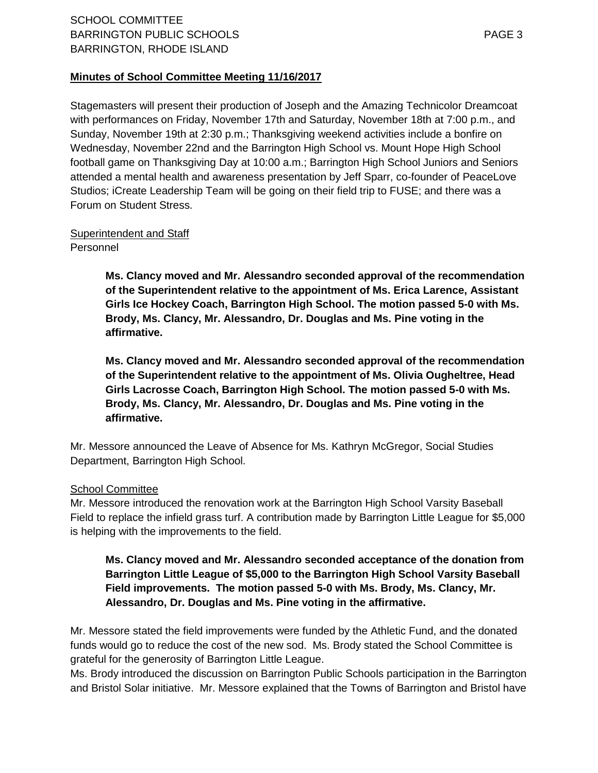# SCHOOL COMMITTEE BARRINGTON PUBLIC SCHOOLS AND RESERVE THE RESERVE THAT IS A RESERVE TO A RESERVE THAT IS A RESERVE TO A RESERVE THAT IS A RESERVE TO A RESERVE THAT IS A RESERVE TO A RESERVE THAT IS A RESERVE TO A RESERVE THAT IS A RESERVE BARRINGTON, RHODE ISLAND

## **Minutes of School Committee Meeting 11/16/2017**

Stagemasters will present their production of Joseph and the Amazing Technicolor Dreamcoat with performances on Friday, November 17th and Saturday, November 18th at 7:00 p.m., and Sunday, November 19th at 2:30 p.m.; Thanksgiving weekend activities include a bonfire on Wednesday, November 22nd and the Barrington High School vs. Mount Hope High School football game on Thanksgiving Day at 10:00 a.m.; Barrington High School Juniors and Seniors attended a mental health and awareness presentation by Jeff Sparr, co-founder of PeaceLove Studios; iCreate Leadership Team will be going on their field trip to FUSE; and there was a Forum on Student Stress.

# Superintendent and Staff

Personnel

**Ms. Clancy moved and Mr. Alessandro seconded approval of the recommendation of the Superintendent relative to the appointment of Ms. Erica Larence, Assistant Girls Ice Hockey Coach, Barrington High School. The motion passed 5-0 with Ms. Brody, Ms. Clancy, Mr. Alessandro, Dr. Douglas and Ms. Pine voting in the affirmative.** 

**Ms. Clancy moved and Mr. Alessandro seconded approval of the recommendation of the Superintendent relative to the appointment of Ms. Olivia Ougheltree, Head Girls Lacrosse Coach, Barrington High School. The motion passed 5-0 with Ms. Brody, Ms. Clancy, Mr. Alessandro, Dr. Douglas and Ms. Pine voting in the affirmative.** 

Mr. Messore announced the Leave of Absence for Ms. Kathryn McGregor, Social Studies Department, Barrington High School.

## School Committee

Mr. Messore introduced the renovation work at the Barrington High School Varsity Baseball Field to replace the infield grass turf. A contribution made by Barrington Little League for \$5,000 is helping with the improvements to the field.

# **Ms. Clancy moved and Mr. Alessandro seconded acceptance of the donation from Barrington Little League of \$5,000 to the Barrington High School Varsity Baseball Field improvements. The motion passed 5-0 with Ms. Brody, Ms. Clancy, Mr. Alessandro, Dr. Douglas and Ms. Pine voting in the affirmative.**

Mr. Messore stated the field improvements were funded by the Athletic Fund, and the donated funds would go to reduce the cost of the new sod. Ms. Brody stated the School Committee is grateful for the generosity of Barrington Little League.

Ms. Brody introduced the discussion on Barrington Public Schools participation in the Barrington and Bristol Solar initiative. Mr. Messore explained that the Towns of Barrington and Bristol have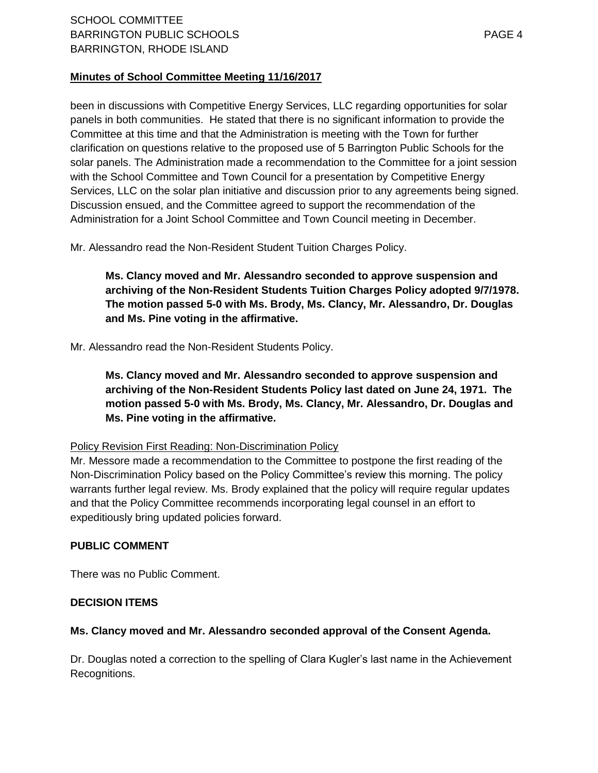been in discussions with Competitive Energy Services, LLC regarding opportunities for solar panels in both communities. He stated that there is no significant information to provide the Committee at this time and that the Administration is meeting with the Town for further clarification on questions relative to the proposed use of 5 Barrington Public Schools for the solar panels. The Administration made a recommendation to the Committee for a joint session with the School Committee and Town Council for a presentation by Competitive Energy Services, LLC on the solar plan initiative and discussion prior to any agreements being signed. Discussion ensued, and the Committee agreed to support the recommendation of the Administration for a Joint School Committee and Town Council meeting in December.

Mr. Alessandro read the Non-Resident Student Tuition Charges Policy.

**Ms. Clancy moved and Mr. Alessandro seconded to approve suspension and archiving of the Non-Resident Students Tuition Charges Policy adopted 9/7/1978. The motion passed 5-0 with Ms. Brody, Ms. Clancy, Mr. Alessandro, Dr. Douglas and Ms. Pine voting in the affirmative.** 

Mr. Alessandro read the Non-Resident Students Policy.

**Ms. Clancy moved and Mr. Alessandro seconded to approve suspension and archiving of the Non-Resident Students Policy last dated on June 24, 1971. The motion passed 5-0 with Ms. Brody, Ms. Clancy, Mr. Alessandro, Dr. Douglas and Ms. Pine voting in the affirmative.** 

### Policy Revision First Reading: Non-Discrimination Policy

Mr. Messore made a recommendation to the Committee to postpone the first reading of the Non-Discrimination Policy based on the Policy Committee's review this morning. The policy warrants further legal review. Ms. Brody explained that the policy will require regular updates and that the Policy Committee recommends incorporating legal counsel in an effort to expeditiously bring updated policies forward.

### **PUBLIC COMMENT**

There was no Public Comment.

### **DECISION ITEMS**

### **Ms. Clancy moved and Mr. Alessandro seconded approval of the Consent Agenda.**

Dr. Douglas noted a correction to the spelling of Clara Kugler's last name in the Achievement Recognitions.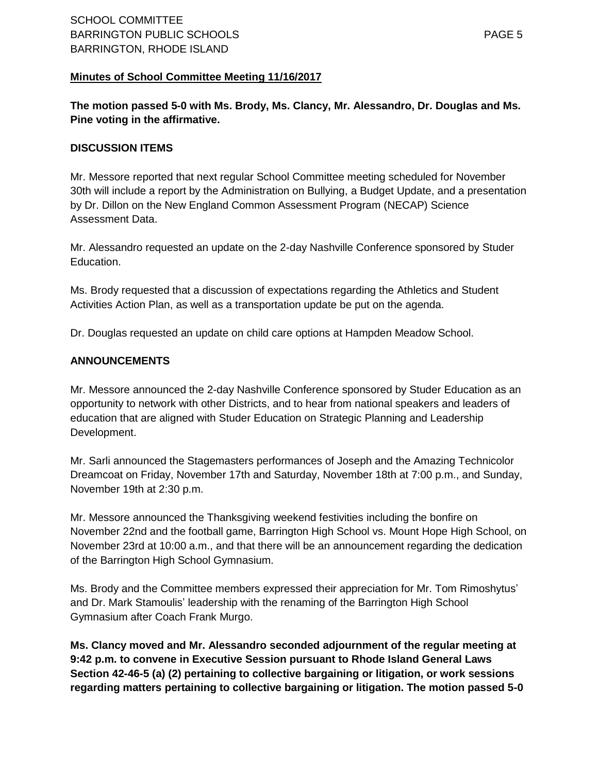**The motion passed 5-0 with Ms. Brody, Ms. Clancy, Mr. Alessandro, Dr. Douglas and Ms. Pine voting in the affirmative.** 

### **DISCUSSION ITEMS**

Mr. Messore reported that next regular School Committee meeting scheduled for November 30th will include a report by the Administration on Bullying, a Budget Update, and a presentation by Dr. Dillon on the New England Common Assessment Program (NECAP) Science Assessment Data.

Mr. Alessandro requested an update on the 2-day Nashville Conference sponsored by Studer Education.

Ms. Brody requested that a discussion of expectations regarding the Athletics and Student Activities Action Plan, as well as a transportation update be put on the agenda.

Dr. Douglas requested an update on child care options at Hampden Meadow School.

## **ANNOUNCEMENTS**

Mr. Messore announced the 2-day Nashville Conference sponsored by Studer Education as an opportunity to network with other Districts, and to hear from national speakers and leaders of education that are aligned with Studer Education on Strategic Planning and Leadership Development.

Mr. Sarli announced the Stagemasters performances of Joseph and the Amazing Technicolor Dreamcoat on Friday, November 17th and Saturday, November 18th at 7:00 p.m., and Sunday, November 19th at 2:30 p.m.

Mr. Messore announced the Thanksgiving weekend festivities including the bonfire on November 22nd and the football game, Barrington High School vs. Mount Hope High School, on November 23rd at 10:00 a.m., and that there will be an announcement regarding the dedication of the Barrington High School Gymnasium.

Ms. Brody and the Committee members expressed their appreciation for Mr. Tom Rimoshytus' and Dr. Mark Stamoulis' leadership with the renaming of the Barrington High School Gymnasium after Coach Frank Murgo.

**Ms. Clancy moved and Mr. Alessandro seconded adjournment of the regular meeting at 9:42 p.m. to convene in Executive Session pursuant to Rhode Island General Laws Section 42-46-5 (a) (2) pertaining to collective bargaining or litigation, or work sessions regarding matters pertaining to collective bargaining or litigation. The motion passed 5-0**